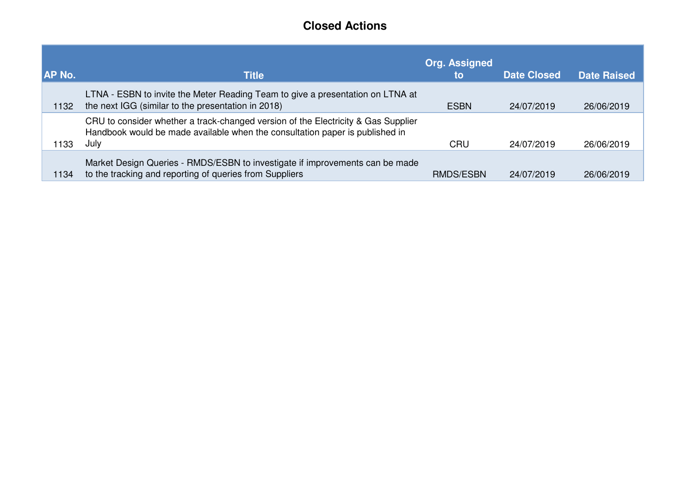## **Closed Actions**

| <b>AP No.</b> | <b>Title</b>                                                                                                                                                              | <b>Org. Assigned</b><br>to | <b>Date Closed</b> | <b>Date Raised</b> |
|---------------|---------------------------------------------------------------------------------------------------------------------------------------------------------------------------|----------------------------|--------------------|--------------------|
| 1132          | LTNA - ESBN to invite the Meter Reading Team to give a presentation on LTNA at<br>the next IGG (similar to the presentation in 2018)                                      | <b>ESBN</b>                | 24/07/2019         | 26/06/2019         |
| 1133          | CRU to consider whether a track-changed version of the Electricity & Gas Supplier<br>Handbook would be made available when the consultation paper is published in<br>July | CRU                        | 24/07/2019         | 26/06/2019         |
| 1134          | Market Design Queries - RMDS/ESBN to investigate if improvements can be made<br>to the tracking and reporting of queries from Suppliers                                   | <b>RMDS/ESBN</b>           | 24/07/2019         | 26/06/2019         |